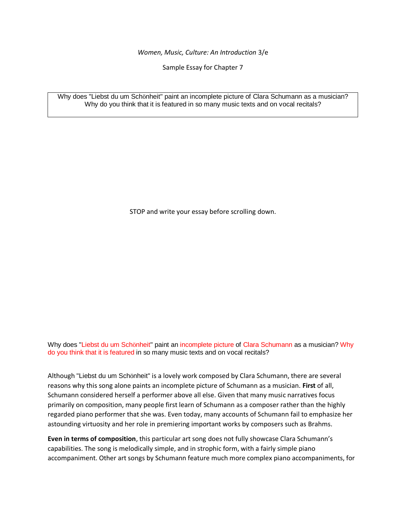*Women, Music, Culture: An Introduction* 3/e

Sample Essay for Chapter 7

Why does "Liebst du um Schönheit" paint an incomplete picture of Clara Schumann as a musician? Why do you think that it is featured in so many music texts and on vocal recitals?

STOP and write your essay before scrolling down.

Why does "Liebst du um Schönheit" paint an incomplete picture of Clara Schumann as a musician? Why do you think that it is featured in so many music texts and on vocal recitals?

Although "Liebst du um Schönheit" is a lovely work composed by Clara Schumann, there are several reasons why this song alone paints an incomplete picture of Schumann as a musician. **First** of all, Schumann considered herself a performer above all else. Given that many music narratives focus primarily on composition, many people first learn of Schumann as a composer rather than the highly regarded piano performer that she was. Even today, many accounts of Schumann fail to emphasize her astounding virtuosity and her role in premiering important works by composers such as Brahms.

**Even in terms of composition**, this particular art song does not fully showcase Clara Schumann's capabilities. The song is melodically simple, and in strophic form, with a fairly simple piano accompaniment. Other art songs by Schumann feature much more complex piano accompaniments, for